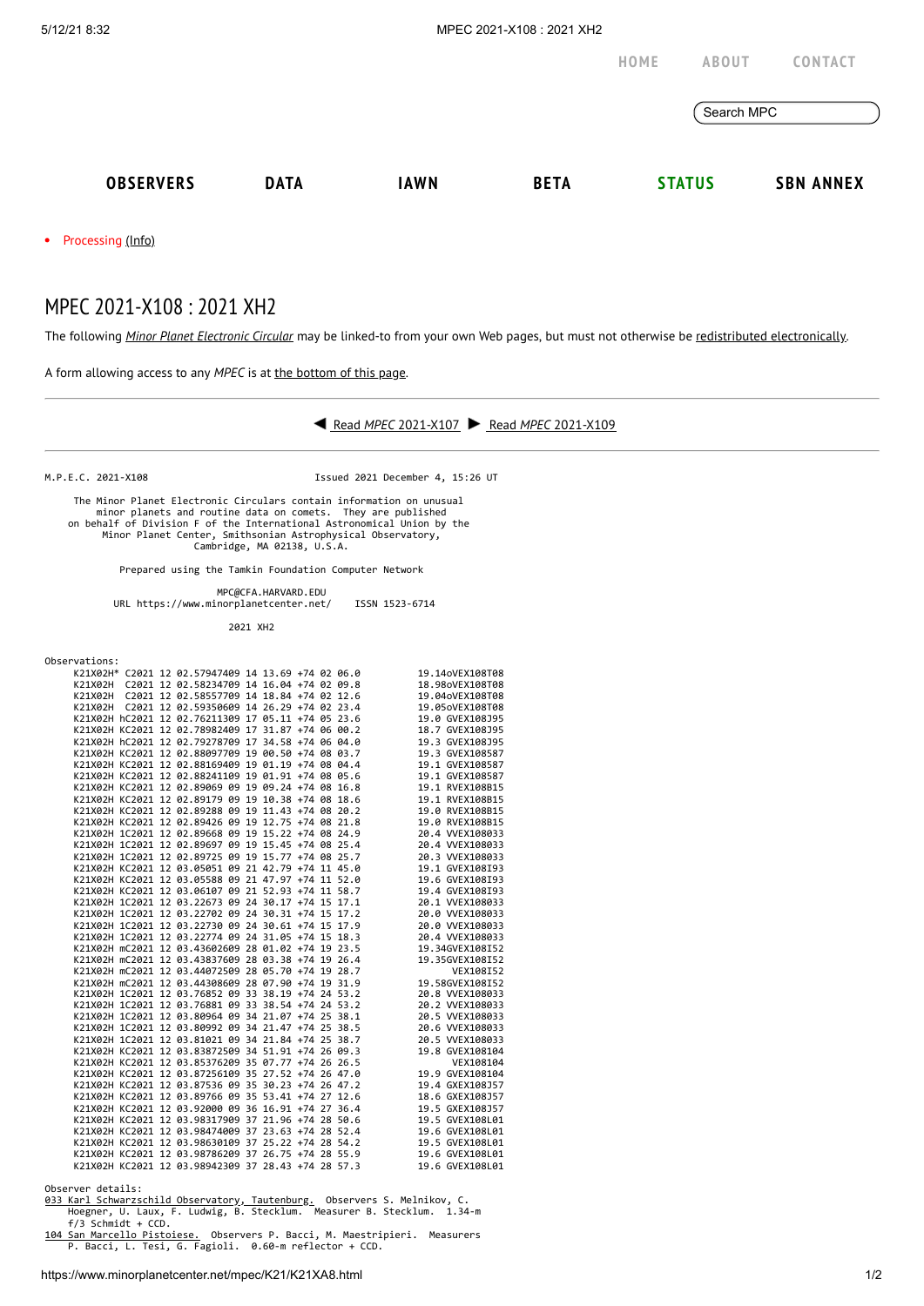

M.P.E.C. 2021-X108 Issued 2021 December 4, 15:26 UT

 The Minor Planet Electronic Circulars contain information on unusual minor planets and routine data on comets. They are published on behalf of Division F of the International Astronomical Union by the Minor Planet Center, Smithsonian Astrophysical Observatory, Cambridge, MA 02138, U.S.A.

Prepared using the Tamkin Foundation Computer Network

 MPC@CFA.HARVARD.EDU URL https://www.minorplanetcenter.net/ ISSN 1523-6714

2021 XH2

Observations:

|  |  | K21X02H* C2021 12 02.57947409 14 13.69 +74 02 06.0 |  |  | 19.14oVEX108T08 |
|--|--|----------------------------------------------------|--|--|-----------------|
|  |  | K21X02H C2021 12 02.58234709 14 16.04 +74 02 09.8  |  |  | 18.98oVEX108T08 |
|  |  | K21X02H C2021 12 02.58557709 14 18.84 +74 02 12.6  |  |  | 19.04oVEX108T08 |
|  |  | K21X02H C2021 12 02.59350609 14 26.29 +74 02 23.4  |  |  | 19.05oVEX108T08 |
|  |  | K21X02H hC2021 12 02.76211309 17 05.11 +74 05 23.6 |  |  | 19.0 GVEX108J95 |
|  |  | K21X02H KC2021 12 02.78982409 17 31.87 +74 06 00.2 |  |  | 18.7 GVEX108J95 |
|  |  | K21X02H hC2021 12 02.79278709 17 34.58 +74 06 04.0 |  |  | 19.3 GVEX108J95 |
|  |  | K21X02H KC2021 12 02.88097709 19 00.50 +74 08 03.7 |  |  | 19.3 GVEX108587 |
|  |  | K21X02H KC2021 12 02.88169409 19 01.19 +74 08 04.4 |  |  | 19.1 GVEX108587 |
|  |  | K21X02H KC2021 12 02.88241109 19 01.91 +74 08 05.6 |  |  | 19.1 GVEX108587 |
|  |  | K21X02H KC2021 12 02.89069 09 19 09.24 +74 08 16.8 |  |  | 19.1 RVEX108B15 |
|  |  | K21X02H KC2021 12 02.89179 09 19 10.38 +74 08 18.6 |  |  | 19.1 RVEX108B15 |
|  |  | K21X02H KC2021 12 02.89288 09 19 11.43 +74 08 20.2 |  |  | 19.0 RVEX108B15 |
|  |  | K21X02H KC2021 12 02.89426 09 19 12.75 +74 08 21.8 |  |  | 19.0 RVEX108B15 |
|  |  | K21X02H 1C2021 12 02.89668 09 19 15.22 +74 08 24.9 |  |  | 20.4 VVEX108033 |
|  |  | K21X02H 1C2021 12 02.89697 09 19 15.45 +74 08 25.4 |  |  | 20.4 VVEX108033 |
|  |  | K21X02H 1C2021 12 02.89725 09 19 15.77 +74 08 25.7 |  |  | 20.3 VVEX108033 |
|  |  | K21X02H KC2021 12 03.05051 09 21 42.79 +74 11 45.0 |  |  | 19.1 GVEX108I93 |
|  |  | K21X02H KC2021 12 03.05588 09 21 47.97 +74 11 52.0 |  |  | 19.6 GVEX108I93 |
|  |  | K21X02H KC2021 12 03.06107 09 21 52.93 +74 11 58.7 |  |  | 19.4 GVEX108I93 |
|  |  | K21X02H 1C2021 12 03.22673 09 24 30.17 +74 15 17.1 |  |  | 20.1 VVEX108033 |
|  |  | K21X02H 1C2021 12 03.22702 09 24 30.31 +74 15 17.2 |  |  | 20.0 VVEX108033 |
|  |  | K21X02H 1C2021 12 03.22730 09 24 30.61 +74 15 17.9 |  |  | 20.0 VVEX108033 |
|  |  | K21X02H 1C2021 12 03.22774 09 24 31.05 +74 15 18.3 |  |  | 20.4 WEX108033  |
|  |  | K21X02H mC2021 12 03.43602609 28 01.02 +74 19 23.5 |  |  | 19.34GVEX108I52 |
|  |  | K21X02H mC2021 12 03.43837609 28 03.38 +74 19 26.4 |  |  | 19.35GVEX108I52 |
|  |  | K21X02H mC2021 12 03.44072509 28 05.70 +74 19 28.7 |  |  | VEX108152       |
|  |  | K21X02H mC2021 12 03.44308609 28 07.90 +74 19 31.9 |  |  | 19.58GVEX108I52 |
|  |  | K21X02H 1C2021 12 03.76852 09 33 38.19 +74 24 53.2 |  |  | 20.8 VVEX108033 |
|  |  | K21X02H 1C2021 12 03.76881 09 33 38.54 +74 24 53.2 |  |  | 20.2 VVEX108033 |
|  |  | K21X02H 1C2021 12 03.80964 09 34 21.07 +74 25 38.1 |  |  | 20.5 VVEX108033 |
|  |  | K21X02H 1C2021 12 03.80992 09 34 21.47 +74 25 38.5 |  |  | 20.6 WEX108033  |
|  |  | K21X02H 1C2021 12 03.81021 09 34 21.84 +74 25 38.7 |  |  | 20.5 VVEX108033 |
|  |  | K21X02H KC2021 12 03.83872509 34 51.91 +74 26 09.3 |  |  | 19.8 GVEX108104 |
|  |  | K21X02H KC2021 12 03.85376209 35 07.77 +74 26 26.5 |  |  | VEX108104       |
|  |  | K21X02H KC2021 12 03.87256109 35 27.52 +74 26 47.0 |  |  | 19.9 GVEX108104 |
|  |  | K21X02H KC2021 12 03.87536 09 35 30.23 +74 26 47.2 |  |  | 19.4 GXEX108J57 |
|  |  | K21X02H KC2021 12 03.89766 09 35 53.41 +74 27 12.6 |  |  | 18.6 GXEX108J57 |
|  |  | K21X02H KC2021 12 03.92000 09 36 16.91 +74 27 36.4 |  |  | 19.5 GXEX108J57 |
|  |  | K21X02H KC2021 12 03.98317909 37 21.96 +74 28 50.6 |  |  | 19.5 GVEX108L01 |
|  |  | K21X02H KC2021 12 03.98474009 37 23.63 +74 28 52.4 |  |  | 19.6 GVEX108L01 |
|  |  | K21X02H KC2021 12 03.98630109 37 25.22 +74 28 54.2 |  |  | 19.5 GVEX108L01 |
|  |  | K21X02H KC2021 12 03.98786209 37 26.75 +74 28 55.9 |  |  | 19.6 GVEX108L01 |
|  |  | K21X02H KC2021 12 03.98942309 37 28.43 +74 28 57.3 |  |  | 19.6 GVEX108L01 |
|  |  |                                                    |  |  |                 |

Observer details:

[033 Karl Schwarzschild Observatory, Tautenburg.](http://www.tls-tautenburg.de/) Observers S. Melnikov, C. Hoegner, U. Laux, F. Ludwig, B. Stecklum. Measurer B. Stecklum. 1.34-m f/3 Schmidt + CCD.

[104 San Marcello Pistoiese.](http://www.gamp-pt.net/) Observers P. Bacci, M. Maestripieri. Measurers P. Bacci, L. Tesi, G. Fagioli. 0.60-m reflector + CCD.